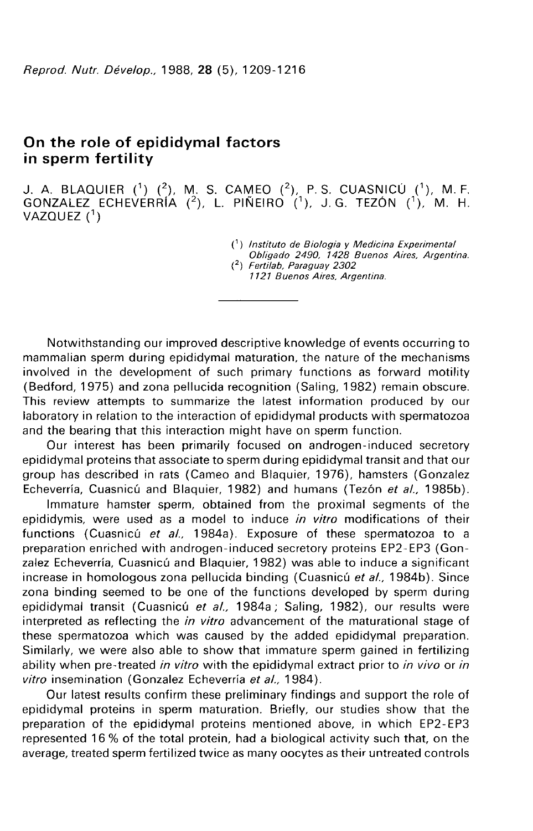# On the role of epididymal factors in sperm fertility

J. A. BLAQUIER  $(^{1})$   $(^{2})$ , M. S. CAMEO  $(^{2})$ , P. S. CUASNICÚ  $(^{1})$ , M. F. GONZALEZ ECHEVERRIA  $(2)$ , L. PIÑEIRO  $(1)$ , J.G. TEZÓN  $(1)$ , M. H. VAZQUEZ $(^1)$ 

- 
- c) Instituto de Biologia y Medicina Experimental Obligado 2490, 1428 Buenos Aires, Argentina. (2) Fertilab, Paraguay 2302
	- 1121 Buenos Aires, Argentina.

Notwithstanding our improved descriptive knowledge of events occurring to mammalian sperm during epididymal maturation, the nature of the mechanisms involved in the development of such primary functions as forward motility (Bedford, 1975) and zona pellucida recognition (Saling, 1982) remain obscure. This review attempts to summarize the latest information produced by our laboratory in relation to the interaction of epididymal products with spermatozoa and the bearing that this interaction might have on sperm function.

Our interest has been primarily focused on androgen-induced secretory epididymal proteins that associate to sperm during epididymal transit and that our group has described in rats (Cameo and Blaquier, 1976), hamsters (Gonzalez Echeverría, Cuasnicú and Blaquier, 1982) and humans (Tezón et al., 1985b).

Immature hamster sperm, obtained from the proximal segments of the epididymis, were used as a model to induce in vitro modifications of their functions (Cuasnicú et al., 1984a). Exposure of these spermatozoa to a preparation enriched with androgen-induced secretory proteins EP2-EP3 (Gonzalez Echeverría, Cuasnicú and Blaquier, 1982) was able to induce a significant increase in homologous zona pellucida binding (Cuasnicú et al., 1984b). Since zona binding seemed to be one of the functions developed by sperm during epididymal transit (Cuasnicú et al., 1984a; Saling, 1982), our results were interpreted as reflecting the *in vitro* advancement of the maturational stage of these spermatozoa which was caused by the added epididymal preparation. Similarly, we were also able to show that immature sperm gained in fertilizing ability when pre-treated in vitro with the epididymal extract prior to in vivo or in vitro insemination (Gonzalez Echeverría et al., 1984).

Our latest results confirm these preliminary findings and support the role of epididymal proteins in sperm maturation. Briefly, our studies show that the preparation of the epididymal proteins mentioned above, in which EP2-EP3 represented 16 % of the total protein, had a biological activity such that, on the average, treated sperm fertilized twice as many oocytes as their untreated controls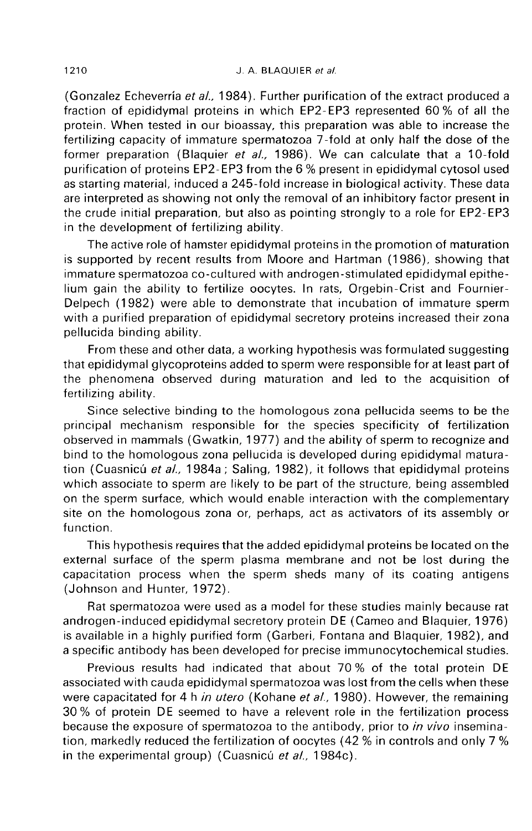(Gonzalez Echeverria et al., 1984). Further purification of the extract produced a fraction of epididymal proteins in which EP2-EP3 represented 60 % of all the protein. When tested in our bioassay, this preparation was able to increase the fertilizing capacity of immature spermatozoa 7-fold at only half the dose of the former preparation (Blaquier et al., 1986). We can calculate that a 10-fold purification of proteins EP2-EP3 from the 6 % present in epididymal cytosol used as starting material, induced a 245-fold increase in biological activity. These data are interpreted as showing not only the removal of an inhibitory factor present in the crude initial preparation, but also as pointing strongly to a role for EP2-EP3 in the development of fertilizing ability.

The active role of hamster epididymal proteins in the promotion of maturation is supported by recent results from Moore and Hartman (1986), showing that immature spermatozoa co-cultured with androgen-stimulated epididymal epithelium gain the ability to fertilize oocytes. In rats, Orgebin-Crist and Fournier-Delpech (1982) were able to demonstrate that incubation of immature sperm with a purified preparation of epididymal secretory proteins increased their zona pellucida binding ability.

From these and other data, a working hypothesis was formulated suggesting that epididymal glycoproteins added to sperm were responsible for at least part of the phenomena observed during maturation and led to the acquisition of fertilizing ability.

Since selective binding to the homologous zona pellucida seems to be the principal mechanism responsible for the species specificity of fertilization observed in mammals (Gwatkin, 1977) and the ability of sperm to recognize and bind to the homologous zona pellucida is developed during epididymal maturation (Cuasnicú et al., 1984a; Saling, 1982), it follows that epididymal proteins which associate to sperm are likely to be part of the structure, being assembled on the sperm surface, which would enable interaction with the complementary site on the homologous zona or, perhaps, act as activators of its assembly or function.

This hypothesis requires that the added epididymal proteins be located on the external surface of the sperm plasma membrane and not be lost during the capacitation process when the sperm sheds many of its coating antigens (Johnson and Hunter, 1972).

Rat spermatozoa were used as a model for these studies mainly because rat androgen-induced epididymal secretory protein DE (Cameo and Blaquier, 1976) is available in a highly purified form (Garberi, Fontana and Blaquier, 1982), and a specific antibody has been developed for precise immunocytochemical studies.

Previous results had indicated that about 70 % of the total protein DE associated with cauda epididymal spermatozoa was lost from the cells when these were capacitated for 4 h in utero (Kohane et al., 1980). However, the remaining 30 % of protein DE seemed to have a relevent role in the fertilization process because the exposure of spermatozoa to the antibody, prior to *in vivo* insemination, markedly reduced the fertilization of oocytes (42 % in controls and only 7 % in the experimental group) (Cuasnicú et al., 1984c).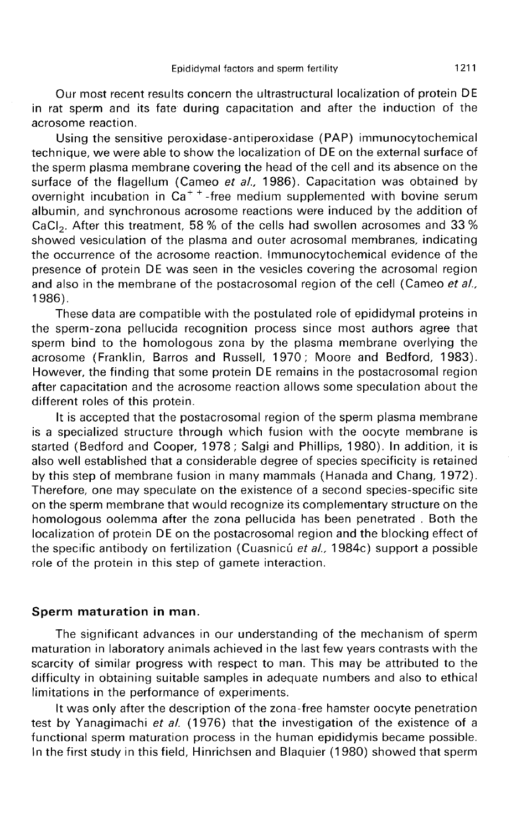Our most recent results concern the ultrastructural localization of protein DE in rat sperm and its fate during capacitation and after the induction of the acrosome reaction.

Using the sensitive peroxidase-antiperoxidase (PAP) immunocytochemical technique, we were able to show the localization of DE on the external surface of the sperm plasma membrane covering the head of the cell and its absence on the surface of the flagellum (Cameo *et al.,* 1986). Capacitation was obtained by the sperm plasma membrane covering the head of the cell and its absence on the<br>surface of the flagellum (Cameo *et al.,* 1986). Capacitation was obtained by<br>overnight incubation in Ca<sup>++</sup>-free medium supplemented with bovi albumin, and synchronous acrosome reactions were induced by the addition of CaCl<sub>2</sub>. After this treatment, 58 % of the cells had swollen acrosomes and 33 % overnight incubation in  $Ca^{++}$ -free medium supplemented with bovine serum showed vesiculation of the plasma and outer acrosomal membranes, indicating the occurrence of the acrosome reaction. Immunocytochemical evidence of the presence of protein DE was seen in the vesicles covering the acrosomal region and also in the membrane of the postacrosomal region of the cell (Cameo et al., 1986).

These data are compatible with the postulated role of epididymal proteins in the sperm-zona pellucida recognition process since most authors agree that sperm bind to the homologous zona by the plasma membrane overlying the acrosome (Franklin, Barros and Russell, 1970; Moore and Bedford, 1983). However, the finding that some protein DE remains in the postacrosomal region after capacitation and the acrosome reaction allows some speculation about the different roles of this protein.

It is accepted that the postacrosomal region of the sperm plasma membrane is a specialized structure through which fusion with the oocyte membrane is started (Bedford and Cooper, 1978 ; Salgi and Phillips, 1980). In addition, it is also well established that a considerable degree of species specificity is retained by this step of membrane fusion in many mammals (Hanada and Chang, 1972). Therefore, one may speculate on the existence of a second species-specific site on the sperm membrane that would recognize its complementary structure on the homologous oolemma after the zona pellucida has been penetrated . Both the localization of protein DE on the postacrosomal region and the blocking effect of the specific antibody on fertilization (Cuasnicú et al., 1984c) support a possible role of the protein in this step of gamete interaction.

### Sperm maturation in man.

The significant advances in our understanding of the mechanism of sperm maturation in laboratory animals achieved in the last few years contrasts with the scarcity of similar progress with respect to man. This may be attributed to the difficulty in obtaining suitable samples in adequate numbers and also to ethical limitations in the performance of experiments.

It was only after the description of the zona-free hamster oocyte penetration test by Yanagimachi et al. (1976) that the investigation of the existence of a functional sperm maturation process in the human epididymis became possible. In the first study in this field, Hinrichsen and Blaquier (1980) showed that sperm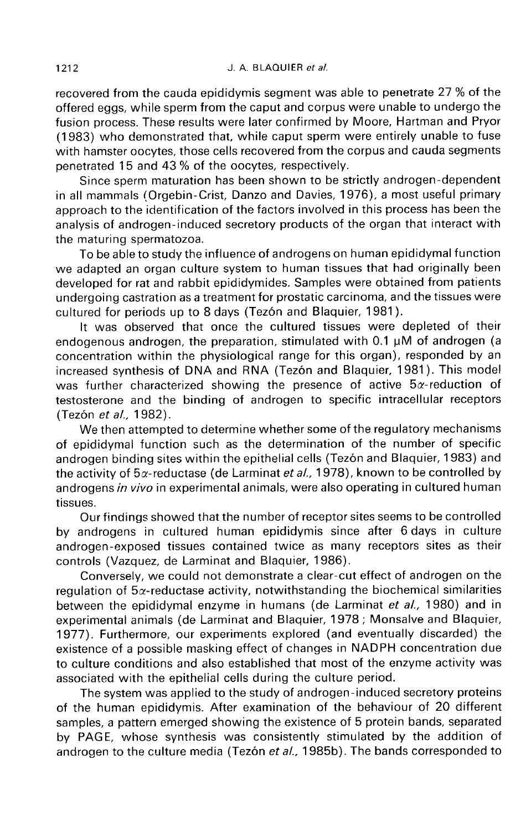recovered from the cauda epididymis segment was able to penetrate 27 % of the offered eggs, while sperm from the caput and corpus were unable to undergo the fusion process. These results were later confirmed by Moore, Hartman and Pryor (1983) who demonstrated that, while caput sperm were entirely unable to fuse with hamster oocytes, those cells recovered from the corpus and cauda segments penetrated 15 and 43 % of the oocytes, respectively.

Since sperm maturation has been shown to be strictly androgen-dependent in all mammals (Orgebin-Crist, Danzo and Davies, 1976), a most useful primary approach to the identification of the factors involved in this process has been the analysis of androgen-induced secretory products of the organ that interact with the maturing spermatozoa.

To be able to study the influence of androgens on human epididymal function we adapted an organ culture system to human tissues that had originally been developed for rat and rabbit epididymides. Samples were obtained from patients undergoing castration as a treatment for prostatic carcinoma, and the tissues were cultured for periods up to 8 days (Tezón and Blaquier, 1981).

It was observed that once the cultured tissues were depleted of their endogenous androgen, the preparation, stimulated with 0.1 uM of androgen (a concentration within the physiological range for this organ), responded by an increased synthesis of DNA and RNA (Tez6n and Blaquier, 1981). This model was further characterized showing the presence of active  $5\alpha$ -reduction of testosterone and the binding of androgen to specific intracellular receptors (Tezón et al., 1982).

We then attempted to determine whether some of the regulatory mechanisms of epididymal function such as the determination of the number of specific androgen binding sites within the epithelial cells (Tez6n and Blaquier, 1983) and the activity of  $5\alpha$ -reductase (de Larminat et al., 1978), known to be controlled by androgens in vivo in experimental animals, were also operating in cultured human tissues.

Our findings showed that the number of receptor sites seems to be controlled by androgens in cultured human epididymis since after 6 days in culture androgen-exposed tissues contained twice as many receptors sites as their controls (Vazquez, de Larminat and Blaquier, 1986).

Conversely, we could not demonstrate a clear-cut effect of androgen on the regulation of  $5\alpha$ -reductase activity, notwithstanding the biochemical similarities between the epididymal enzyme in humans (de Larminat et al., 1980) and in experimental animals (de Larminat and Blaquier, 1978 ; Monsalve and Blaquier, 1977). Furthermore, our experiments explored (and eventually discarded) the existence of a possible masking effect of changes in NADPH concentration due to culture conditions and also established that most of the enzyme activity was associated with the epithelial cells during the culture period.

The system was applied to the study of androgen-induced secretory proteins of the human epididymis. After examination of the behaviour of 20 different samples, a pattern emerged showing the existence of 5 protein bands, separated by PAGE, whose synthesis was consistently stimulated by the addition of androgen to the culture media (Tezón et al., 1985b). The bands corresponded to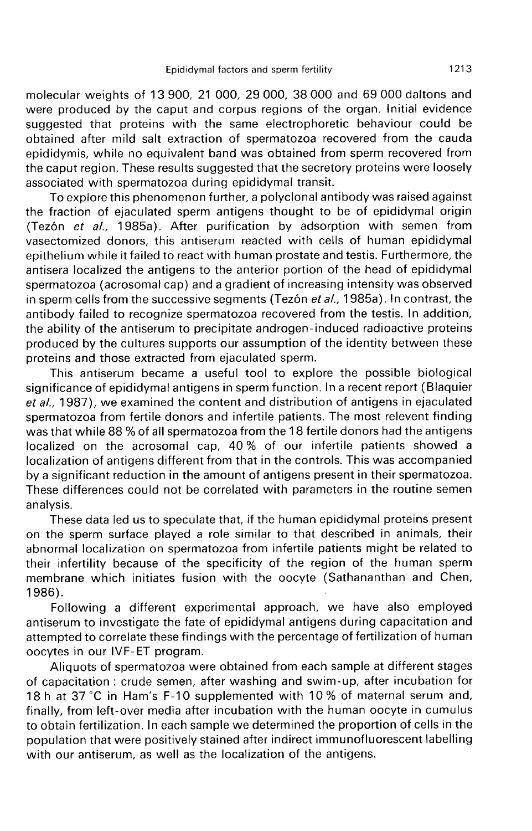molecular weights of 13 900, 21 000, 29 000, 38 000 and 69 000 daltons and were produced by the caput and corpus regions of the organ. Initial evidence suggested that proteins with the same electrophoretic behaviour could be obtained after mild salt extraction of spermatozoa recovered from the cauda epididymis, while no equivalent band was obtained from sperm recovered from the caput region. These results suggested that the secretory proteins were loosely associated with spermatozoa during epididymal transit.

To explore this phenomenon further, a polyclonal antibody was raised against the fraction of ejaculated sperm antigens thought to be of epididymal origin (Tez6n et al., 1985a). After purification by adsorption with semen from vasectomized donors, this antiserum reacted with cells of human epididymal epithelium while it failed to react with human prostate and testis. Furthermore, the antisera localized the antigens to the anterior portion of the head of epididymal spermatozoa (acrosomal cap) and a gradient of increasing intensity was observed in sperm cells from the successive segments (Tezón et al., 1985a). In contrast, the antibody failed to recognize spermatozoa recovered from the testis. In addition, the ability of the antiserum to precipitate androgen-induced radioactive proteins produced by the cultures supports our assumption of the identity between these proteins and those extracted from ejaculated sperm.

This antiserum became a useful tool to explore the possible biological significance of epididymal antigens in sperm function. In a recent report (Blaquier et al., 1987), we examined the content and distribution of antigens in ejaculated<br>spermatozoa from fertile donors and infertile patients. The most relevent finding was that while 88 % of all spermatozoa from the 18 fertile donors had the antigens localized on the acrosomal cap, 40 % of our infertile patients showed a localization of antigens different from that in the controls. This was accompanied by a significant reduction in the amount of antigens present in their spermatozoa. These differences could not be correlated with parameters in the routine semen analysis.

These data led us to speculate that, if the human epididymal proteins present on the sperm surface played a role similar to that described in animals, their abnormal localization on spermatozoa from infertile patients might be related to their infertility because of the specificity of the region of the human sperm membrane which initiates fusion with the oocyte (Sathananthan and Chen, 1986).

Following a different experimental approach, we have also employed antiserum to investigate the fate of epididymal antigens during capacitation and attempted to correlate these findings with the percentage of fertilization of human oocytes in our IVF-ET program.

Aliquots of spermatozoa were obtained from each sample at different stages of capacitation : crude semen, after washing and swim-up, after incubation for 18 h at 37 °C in Ham's F-10 supplemented with 10 % of maternal serum and, finally, from left-over media after incubation with the human oocyte in cumulus to obtain fertilization. In each sample we determined the proportion of cells in the population that were positively stained after indirect immunofluorescent labelling with our antiserum, as well as the localization of the antigens.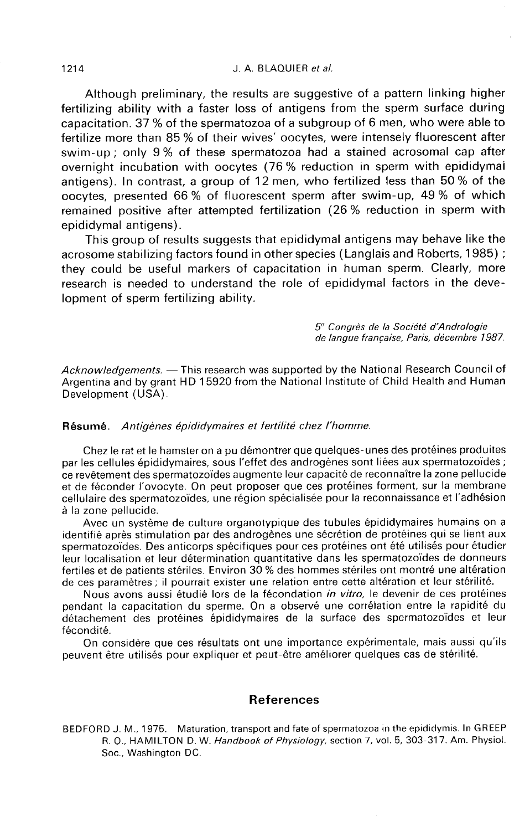### J. A. BLAQUIER et al.

Although preliminary, the results are suggestive of a pattern linking higher fertilizing ability with a faster loss of antigens from the sperm surface during capacitation. 37 % of the spermatozoa of a subgroup of 6 men, who were able to fertilize more than 85 % of their wives' oocytes, were intensely fluorescent after swim-up ; only 9 % of these spermatozoa had a stained acrosomal cap after overnight incubation with oocytes (76 % reduction in sperm with epididymai antigens). In contrast, a group of 12 men, who fertilized less than 50 % of the oocytes, presented 66 % of fluorescent sperm after swim-up, 49 % of which remained positive after attempted fertilization (26 % reduction in sperm with epididymal antigens).

This group of results suggests that epididymal antigens may behave like the acrosome stabilizing factors found in other species (Langlais and Roberts, 1985) ; they could be useful markers of capacitation in human sperm. Clearly, more research is needed to understand the role of epididymal factors in the development of sperm fertilizing ability.

> 5<sup>e</sup> Congrès de la Société d'Andrologie de langue française, Paris, décembre 1987.

Acknowledgements. - This research was supported by the National Research Council of Argentina and by grant HD 15920 from the National Institute of Child Health and Human Development (USA).

#### Résumé. Antigènes épididymaires et fertilité chez l'homme.

Chez le rat et le hamster on a pu démontrer que quelques-unes des protéines produites ce revêtement des spermatozoïdes augmente leur capacité de reconnaître la zone pellucide<br>et de féconder l'ovocyte. On peut proposer que ces protéines forment, sur la membrane cellulaire des spermatozoïdes, une région spécialisée pour la reconnaissance et l'adhésion à la zone pellucide.

Avec un système de culture organotypique des tubules épididymaires humains on a identifié après stimulation par des androgènes une sécrétion de protéines qui se lient aux spermatozoïdes. Des anticorps spécifiques pour ces protéines ont été utilisés pour étudier leur localisation et leur détermination quantitative dans les spermatozoïdes de donneurs fertiles et de patients stériles. Environ 30 % des hommes stériles ont montré une altération de ces paramètres ; il pourrait exister une relation entre cette altération et leur stérilité.

Nous avons aussi étudié lors de la fécondation in vitro, le devenir de ces protéines pendant la capacitation du sperme. On a observé une corrélation entre la rapidité du détachement des protéines épididymaires de la surface des spermatozoïdes et leur fécondité.

On considère que ces résultats ont une importance expérimentale, mais aussi qu'ils peuvent être utilisés pour expliquer et peut-être améliorer quelques cas de stérilité.

## References

BEDFORD J. M., 1975. Maturation, transport and fate of spermatozoa in the epididymis. In GREEP R. O., HAMILTON D. W. Handbook of Physiology, section 7, vol. 5, 303-317. Am. Physiol. Soc., Washington DC.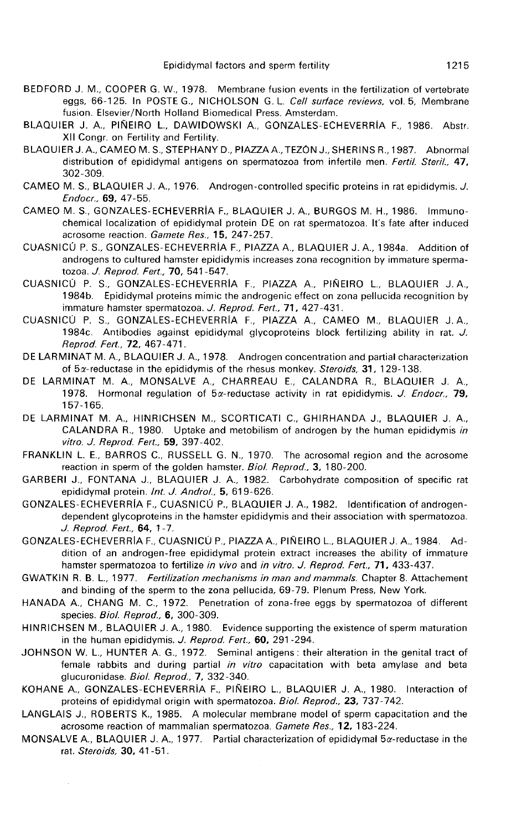- BEDFORD J. M., COOPER G. W., 1978. Membrane fusion events in the fertilization of vertebrate eggs, 66-125. In POSTE G., NICHOLSON G. L. Cell surface reviews, vol. 5, Membrane fusion. Elsevier/North Holland Biomedical Press. Amsterdam.
- BLAQUIER J. A., PIÑEIRO L., DAWIDOWSKI A., GONZALES-ECHEVERRÍA F., 1986. Abstr. XII Congr. on Fertility and Fertility.
- BLAQUIER J. A., CAMEO M. S., STEPHANY D., PIAZZAA.,TEZON J., SHERINS R.,1987. Abnormal distribution of epididymal antigens on spermatozoa from infertile men. Fertil. Steril.. 47. 302-309.
- CAMEO M. S., BLAQUIER J. A., 1976. Androgen-controlled specific proteins in rat epididymis. J. Endocr., 69, 47-55.
- CAMEO M. S., GONZALES-ECHEVERRIA F., BLAQUIER J. A., BURGOS M. H., 1986. Immunochemical localization of epididymal protein DE on rat spermatozoa. It's fate after induced acrosome reaction. Gamete Res., 15, 247-257.
- CUASNICU P. S., GONZALES-ECHEVERRIA F., PIAZZA A., BLAQUIER J. A., 1984a. Addition of androgens to cultured hamster epididymis increases zona recognition by immature spermatozoa. J. Reprod. Fert., 70, 541-547.
- CUASNICU P. S., GONZALES-ECHEVERRIA F., PIAZZA A., PINEIRO L., BLAQUIER J. A., 1984b. Epididymal proteins mimic the androgenic effect on zona pellucida recognition by immature hamster spermatozoa. J. Reprod. Fert., 71, 427-431.
- CUASNICÚ P. S., GONZALES-ECHEVERRIA F., PIAZZA A., CAMEO M., BLAQUIER J.A., 1984c. Antibodies against epididymal glycoproteins block fertilizing ability in rat. J. Reprod. Fert., 72, 467-471.
- DE LARMINAT M. A., BLAQUIER J. A., 1978. Androgen concentration and partial characterization of  $5x$ -reductase in the epididymis of the rhesus monkey. Steroids, 31, 129-138.
- DE LARMINAT M. A., MONSALVE A., CHARREAU E., CALANDRA R., BLAQUIER J. A., 1978. Hormonal regulation of  $5\alpha$ -reductase activity in rat epididymis. J. Endocr., 79, 157-165.
- DE LARMINAT M. A., HINRICHSEN M., SCORTICATI C., GHIRHANDA J., BLAQUIER J. A., CALANDRA R., 1980. Uptake and metobilism of androgen by the human epididymis in vitro. J. Reprod. Fert., 59, 397-402.
- FRANKLIN L. E., BARROS C., RUSSELL G. N., 1970. The acrosomal region and the acrosome reaction in sperm of the golden hamster. Biol. Reprod., 3, 180-200.
- GARBERI J., FONTANA J., BLAQUIER J. A., 1982. Carbohydrate composition of specific rat epididymal protein. Int. J. Androl., 5, 619-626.
- GONZALES-ECHEVERRiA F., CUASNICU P., BLAQUIER J. A., 1982. Identification of androgendependent glycoproteins in the hamster epididymis and their association with spermatozoa. J. Reprod. Fert., 64, 1-7.
- GONZALES-ECHEVERRIA F., CUASNICU P., P!AZZAA.,P!NEiROL. BLAQUIER J. A., 1984. Addition of an androgen-free epididymal protein extract increases the ability of immature hamster spermatozoa to fertilize in vivo and in vitro. J. Reprod. Fert., 71, 433-437.
- GWATKIN R. B. L., 1977. Fertilization mechanisms in man and mammals. Chapter 8. Attachement and binding of the sperm to the zona pellucida, 69-79. Plenum Press, New York.
- HANADA A., CHANG M. C., 1972. Penetration of zona-free eggs by spermatozoa of different species. *Biol. Reprod.*, **6**, 300-309.
- HINRICHSEN M., BLAQUIER J. A., 1980. Evidence supporting the existence of sperm maturation in the human epididymis. J. Reprod. Fert., 60, 291-294.
- JOHNSON W. L., HUNTER A. G., 1972. Seminal antigens: their alteration in the genital tract of female rabbits and during partial in vitro capacitation with beta amylase and beta glucuronidase. Biol. Reprod., 7, 332-340.
- KOHANE A., GONZALES-ECHEVERRIA F., PINEIRO L., BLAQUIER J. A., 1980. Interaction of proteins of epididymal origin with spermatozoa. Biol. Reprod., 23, 737-742.
- LANGLAIS J., ROBERTS K., 1985. A molecular membrane model of sperm capacitation and the acrosome reaction of mammalian spermatozoa. Gamete Res., 12, 183-224.
- MONSALVE A., BLAQUIER J. A., 1977. Partial characterization of epididymal 5x-reductase in the rat. Steroids, 30, 41 -51 .